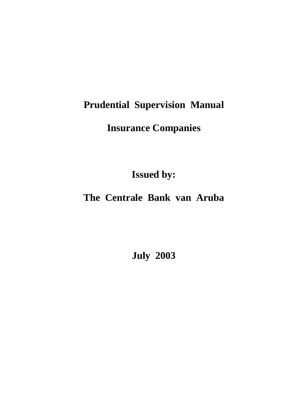# **Prudential Supervision Manual**

# **Insurance Companies**

**Issued by:** 

## **The Centrale Bank van Aruba**

**July 2003**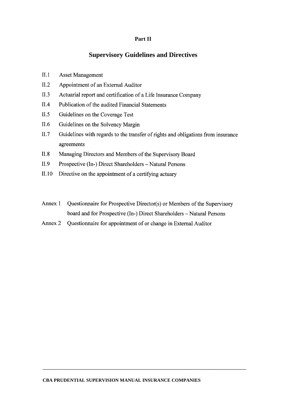#### Part II

#### **Supervisory Guidelines and Directives**

- $II.1$ **Asset Management**
- $II.2$ Appointment of an External Auditor
- $II.3$ Actuarial report and certification of a Life Insurance Company
- $II.4$ Publication of the audited Financial Statements
- $II.5$ Guidelines on the Coverage Test
- $II.6$ Guidelines on the Solvency Margin
- $II.7$ Guidelines with regards to the transfer of rights and obligations from insurance agreements
- $II.8$ Managing Directors and Members of the Supervisory Board
- $II.9$ Prospective (In-) Direct Shareholders - Natural Persons
- $II.10$ Directive on the appointment of a certifying actuary
- Annex 1 Questionnaire for Prospective Director(s) or Members of the Supervisory board and for Prospective (In-) Direct Shareholders - Natural Persons
- Annex 2 Questionnaire for appointment of or change in External Auditor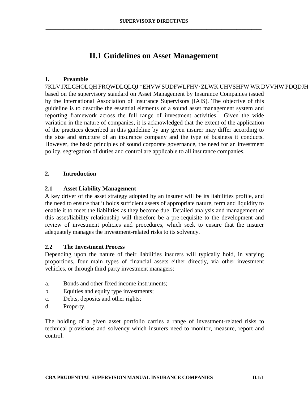### **II.1 Guidelines on Asset Management**

### **1. Preamble**

7KLV JXLGHOLQH FRQWDLQLQJ <sup>3</sup>EHVW SUDFWLFHV<sup>*\**</sup> ZLWK based on the supervisory standard on Asset Management by Insurance Companies issued by the International Association of Insurance Supervisors (IAIS). The objective of this guideline is to describe the essential elements of a sound asset management system and reporting framework across the full range of investment activities. Given the wide variation in the nature of companies, it is acknowledged that the extent of the application of the practices described in this guideline by any given insurer may differ according to the size and structure of an insurance company and the type of business it conducts. However, the basic principles of sound corporate governance, the need for an investment policy, segregation of duties and control are applicable to all insurance companies.

### **2. Introduction**

#### **2.1 Asset Liability Management**

A key driver of the asset strategy adopted by an insurer will be its liabilities profile, and the need to ensure that it holds sufficient assets of appropriate nature, term and liquidity to enable it to meet the liabilities as they become due. Detailed analysis and management of this asset/liability relationship will therefore be a pre-requisite to the development and review of investment policies and procedures, which seek to ensure that the insurer adequately manages the investment-related risks to its solvency.

#### **2.2 The Investment Process**

Depending upon the nature of their liabilities insurers will typically hold, in varying proportions, four main types of financial assets either directly, via other investment vehicles, or through third party investment managers:

- a. Bonds and other fixed income instruments;
- b. Equities and equity type investments;
- c. Debts, deposits and other rights;
- d. Property.

The holding of a given asset portfolio carries a range of investment-related risks to technical provisions and solvency which insurers need to monitor, measure, report and control.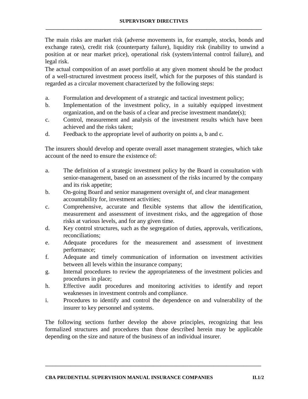The main risks are market risk (adverse movements in, for example, stocks, bonds and exchange rates), credit risk (counterparty failure), liquidity risk (inability to unwind a position at or near market price), operational risk (system/internal control failure), and legal risk.

The actual composition of an asset portfolio at any given moment should be the product of a well-structured investment process itself, which for the purposes of this standard is regarded as a circular movement characterized by the following steps:

- a. Formulation and development of a strategic and tactical investment policy;
- b. Implementation of the investment policy, in a suitably equipped investment organization, and on the basis of a clear and precise investment mandate(s);
- c. Control, measurement and analysis of the investment results which have been achieved and the risks taken;
- d. Feedback to the appropriate level of authority on points a, b and c.

The insurers should develop and operate overall asset management strategies, which take account of the need to ensure the existence of:

- a. The definition of a strategic investment policy by the Board in consultation with senior-management, based on an assessment of the risks incurred by the company and its risk appetite;
- b. On-going Board and senior management oversight of, and clear management accountability for, investment activities;
- c. Comprehensive, accurate and flexible systems that allow the identification, measurement and assessment of investment risks, and the aggregation of those risks at various levels, and for any given time.
- d. Key control structures, such as the segregation of duties, approvals, verifications, reconciliations;
- e. Adequate procedures for the measurement and assessment of investment performance;
- f. Adequate and timely communication of information on investment activities between all levels within the insurance company;
- g. Internal procedures to review the appropriateness of the investment policies and procedures in place;
- h. Effective audit procedures and monitoring activities to identify and report weaknesses in investment controls and compliance.
- i. Procedures to identify and control the dependence on and vulnerability of the insurer to key personnel and systems.

The following sections further develop the above principles, recognizing that less formalized structures and procedures than those described herein may be applicable depending on the size and nature of the business of an individual insurer.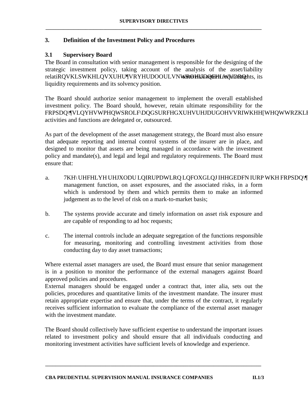#### **3. Definition of the Investment Policy and Procedures**

#### **3.1 Supervisory Board**

The Board in consultation with senior management is responsible for the designing of the strategic investment policy, taking account of the analysis of the asset/liability relati  $RQVKLS$  WKH  $LQVXUHU$ <sup>V</sup>R YtetthUrDo Court Uneq Win em White, Onset UDQFH L liquidity requirements and its solvency position.

The Board should authorize senior management to implement the overall established investment policy. The Board should, however, retain ultimate responsibility for the FRPSDQ\¶V LQYHVWPHQW SROLF\ DQG SURFHGXUHV UHJDUGO activities and functions are delegated or, outsourced.

As part of the development of the asset management strategy, the Board must also ensure that adequate reporting and internal control systems of the insurer are in place, and designed to monitor that assets are being managed in accordance with the investment policy and mandate(s), and legal and legal and regulatory requirements. The Board must ensure that:

- a. 7KH\ UHFHLYH UHJXODU LQIRUPDWLRQ LQFOXGLQJ I management function, on asset exposures, and the associated risks, in a form which is understood by them and which permits them to make an informed judgement as to the level of risk on a mark-to-market basis;
- b. The systems provide accurate and timely information on asset risk exposure and are capable of responding to ad hoc requests;
- c. The internal controls include an adequate segregation of the functions responsible for measuring, monitoring and controlling investment activities from those conducting day to day asset transactions;

Where external asset managers are used, the Board must ensure that senior management is in a position to monitor the performance of the external managers against Board approved policies and procedures.

External managers should be engaged under a contract that, inter alia, sets out the policies, procedures and quantitative limits of the investment mandate. The insurer must retain appropriate expertise and ensure that, under the terms of the contract, it regularly receives sufficient information to evaluate the compliance of the external asset manager with the investment mandate.

The Board should collectively have sufficient expertise to understand the important issues related to investment policy and should ensure that all individuals conducting and monitoring investment activities have sufficient levels of knowledge and experience.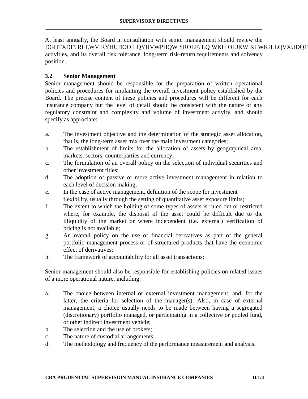At least annually, the Board in consultation with senior management should review the DGHTXDF\ RI LWV RYHUDOO LQYHVWPHQW SROLF\ LQ WKH activities, and its overall risk tolerance, long-term risk-return requirements and solvency position.

#### **3.2 Senior Management**

Senior management should be responsible for the preparation of written operational policies and procedures for implanting the overall investment policy established by the Board. The precise content of these policies and procedures will be different for each insurance company but the level of detail should be consistent with the nature of any regulatory constraint and complexity and volume of investment activity, and should specify as approciate:

- a. The investment objective and the determination of the strategic asset allocation, that is, the long-term asset mix over the main investment categories;
- b. The establishment of limits for the allocation of assets by geographical area, markets, sectors, counterparties and currency;
- c. The formulation of an overall policy on the selection of individual securities and other investment titles;
- d. The adoption of passive or more active investment management in relation to each level of decision making;
- e. In the case of active management, definition of the scope for investment flexibility, usually through the setting of quantitative asset exposure limits;
- f. The extent to which the holding of some types of assets is ruled out or restricted where, for example, the disposal of the asset could be difficult due to the illiquidity of the market or where independent (i.e. external) verification of pricing is not available;
- g. An overall policy on the use of financial derivatives as part of the general portfolio management process or of structured products that have the economic effect of derivatives;
- h. The framework of accountability for all asset transactions;

Senior management should also be responsible for establishing policies on related issues of a more operational nature, including:

- a. The choice between internal or external investment management, and, for the latter, the criteria for selection of the manager(s). Also, in case of external management, a choice usually needs to be made between having a segregated (discretionary) portfolio managed, or participating in a collective or pooled fund, or other indirect investment vehicle;
- b. The selection and the use of brokers;
- c. The nature of custodial arrangements;
- d. The methodology and frequency of the performance measurement and analysis.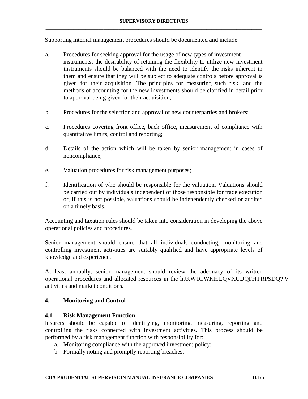Supporting internal management procedures should be documented and include:

- a. Procedures for seeking approval for the usage of new types of investment instruments: the desirability of retaining the flexibility to utilize new investment instruments should be balanced with the need to identify the risks inherent in them and ensure that they will be subject to adequate controls before approval is given for their acquisition. The principles for measuring such risk, and the methods of accounting for the new investments should be clarified in detail prior to approval being given for their acquisition;
- b. Procedures for the selection and approval of new counterparties and brokers;
- c. Procedures covering front office, back office, measurement of compliance with quantitative limits, control and reporting;
- d. Details of the action which will be taken by senior management in cases of noncompliance;
- e. Valuation procedures for risk management purposes;
- f. Identification of who should be responsible for the valuation. Valuations should be carried out by individuals independent of those responsible for trade execution or, if this is not possible, valuations should be independently checked or audited on a timely basis.

Accounting and taxation rules should be taken into consideration in developing the above operational policies and procedures.

Senior management should ensure that all individuals conducting, monitoring and controlling investment activities are suitably qualified and have appropriate levels of knowledge and experience.

At least annually, senior management should review the adequacy of its written operational procedures and allocated resources in the liJKW RI WKH LQVXUDQFH FR activities and market conditions.

### **4. Monitoring and Control**

#### **4.1 Risk Management Function**

Insurers should be capable of identifying, monitoring, measuring, reporting and controlling the risks connected with investment activities. This process should be performed by a risk management function with responsibility for:

- a. Monitoring compliance with the approved investment policy;
- b. Formally noting and promptly reporting breaches;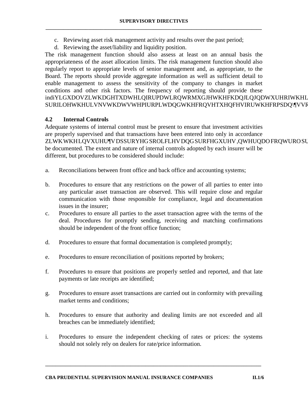- c. Reviewing asset risk management activity and results over the past period;
- d. Reviewing the asset/liability and liquidity position.

The risk management function should also assess at least on an annual basis the appropriateness of the asset allocation limits. The risk management function should also regularly report to appropriate levels of senior management and, as appropriate, to the Board. The reports should provide aggregate information as well as sufficient detail to enable management to assess the sensitivity of the company to changes in market conditions and other risk factors. The frequency of reporting should provide these  $indiYLGXDOVZLWKDGHTXDWHLOIRUPDWLROWRMXGJHWKH$ SURILOH WKH ULVNV WKDW VWHP IURP LW DQG WKH FRQVH

### **4.2 Internal Controls**

Adequate systems of internal control must be present to ensure that investment activities are properly supervised and that transactions have been entered into only in accordance ZLWK WKH LQVXUHU¶V DSSURYHG SROLFLHV DQG SURFHGXU be documented. The extent and nature of internal controls adopted by each insurer will be different, but procedures to be considered should include:

- a. Reconciliations between front office and back office and accounting systems;
- b. Procedures to ensure that any restrictions on the power of all parties to enter into any particular asset transaction are observed. This will require close and regular communication with those responsible for compliance, legal and documentation issues in the insurer;
- c. Procedures to ensure all parties to the asset transaction agree with the terms of the deal. Procedures for promptly sending, receiving and matching confirmations should be independent of the front office function;
- d. Procedures to ensure that formal documentation is completed promptly;
- e. Procedures to ensure reconciliation of positions reported by brokers;
- f. Procedures to ensure that positions are properly settled and reported, and that late payments or late receipts are identified;
- g. Procedures to ensure asset transactions are carried out in conformity with prevailing market terms and conditions;
- h. Procedures to ensure that authority and dealing limits are not exceeded and all breaches can be immediately identified;
- i. Procedures to ensure the independent checking of rates or prices: the systems should not solely rely on dealers for rate/price information.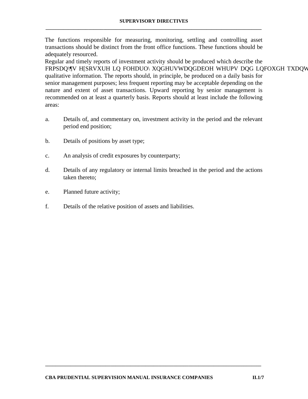The functions responsible for measuring, monitoring, settling and controlling asset transactions should be distinct from the front office functions. These functions should be adequately resourced.

Regular and timely reports of investment activity should be produced which describe the FRPSDQ\¶V H[SRVXUH LQ FOHDUO\ XQGHUVWDQGDEOH WHI qualitative information. The reports should, in principle, be produced on a daily basis for senior management purposes; less frequent reporting may be acceptable depending on the nature and extent of asset transactions. Upward reporting by senior management is recommended on at least a quarterly basis. Reports should at least include the following areas:

- a. Details of, and commentary on, investment activity in the period and the relevant period end position;
- b. Details of positions by asset type;
- c. An analysis of credit exposures by counterparty;
- d. Details of any regulatory or internal limits breached in the period and the actions taken thereto;
- e. Planned future activity;
- f. Details of the relative position of assets and liabilities.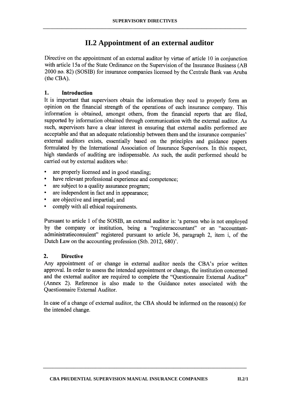## II.2 Appointment of an external auditor

Directive on the appointment of an external auditor by virtue of article 10 in conjunction with article 15a of the State Ordinance on the Supervision of the Insurance Business (AB 2000 no. 82) (SOSIB) for insurance companies licensed by the Centrale Bank van Aruba (the CBA).

#### 1. **Introduction**

It is important that supervisors obtain the information they need to properly form an opinion on the financial strength of the operations of each insurance company. This information is obtained, amongst others, from the financial reports that are filed, supported by information obtained through communication with the external auditor. As such, supervisors have a clear interest in ensuring that external audits performed are acceptable and that an adequate relationship between them and the insurance companies' external auditors exists, essentially based on the principles and guidance papers formulated by the International Association of Insurance Supervisors. In this respect, high standards of auditing are indispensable. As such, the audit performed should be carried out by external auditors who:

- $\bullet$ are properly licensed and in good standing;
- have relevant professional experience and competence:
- are subject to a quality assurance program:
- are independent in fact and in appearance:
- are objective and impartial; and
- comply with all ethical requirements.

Pursuant to article 1 of the SOSIB, an external auditor is: 'a person who is not employed by the company or institution, being a "register accountant" or an "accountantadministratieconsulent" registered pursuant to article 36, paragraph 2, item i, of the Dutch Law on the accounting profession (Stb. 2012, 680)'.

#### $2.$ **Directive**

Any appointment of or change in external auditor needs the CBA's prior written approval. In order to assess the intended appointment or change, the institution concerned and the external auditor are required to complete the "Questionnaire External Auditor" (Annex 2). Reference is also made to the Guidance notes associated with the **Ouestionnaire External Auditor.** 

In case of a change of external auditor, the CBA should be informed on the reason(s) for the intended change.